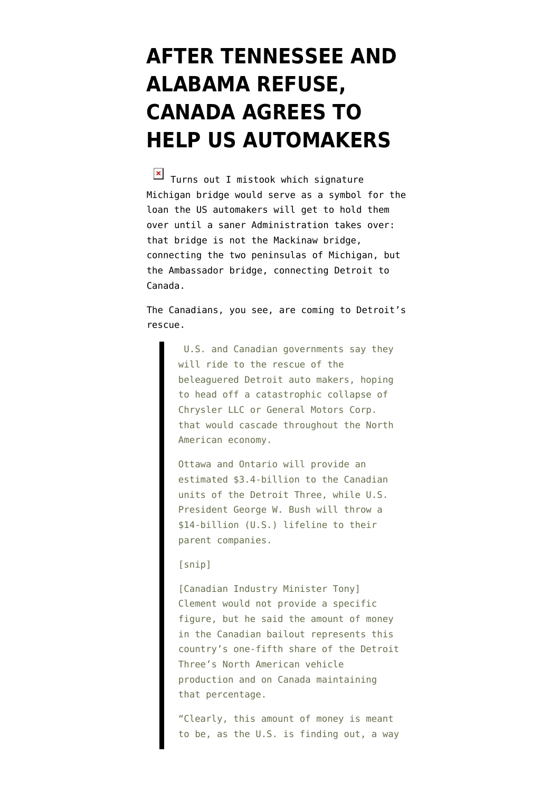## **[AFTER TENNESSEE AND](https://www.emptywheel.net/2008/12/13/after-tennessee-and-alabama-refuse-canada-agress-to-help-us-automakers/) [ALABAMA REFUSE,](https://www.emptywheel.net/2008/12/13/after-tennessee-and-alabama-refuse-canada-agress-to-help-us-automakers/) [CANADA AGREES TO](https://www.emptywheel.net/2008/12/13/after-tennessee-and-alabama-refuse-canada-agress-to-help-us-automakers/) [HELP US AUTOMAKERS](https://www.emptywheel.net/2008/12/13/after-tennessee-and-alabama-refuse-canada-agress-to-help-us-automakers/)**

 $\overline{X}$  Turns out I mistook which signature Michigan bridge would serve as a symbol for the loan the US automakers will get to hold them over until a saner Administration takes over: that bridge is not the [Mackinaw bridge,](http://emptywheel.firedoglake.com/2008/12/06/the-giant-pissing-contest-over-the-auto-bridge/) connecting the two peninsulas of Michigan, but the Ambassador bridge, connecting Detroit to Canada.

The Canadians, you see, are [coming to Detroit's](http://business.theglobeandmail.com/servlet/story/RTGAM.20081212.wrautos1213/BNStory/Business/home) [rescue](http://business.theglobeandmail.com/servlet/story/RTGAM.20081212.wrautos1213/BNStory/Business/home).

> U.S. and Canadian governments say they will ride to the rescue of the beleaguered Detroit auto makers, hoping to head off a catastrophic collapse of Chrysler LLC or General Motors Corp. that would cascade throughout the North American economy.

Ottawa and Ontario will provide an estimated \$3.4-billion to the Canadian units of the Detroit Three, while U.S. President George W. Bush will throw a \$14-billion (U.S.) lifeline to their parent companies.

## [snip]

[Canadian Industry Minister Tony] Clement would not provide a specific figure, but he said the amount of money in the Canadian bailout represents this country's one-fifth share of the Detroit Three's North American vehicle production and on Canada maintaining that percentage.

"Clearly, this amount of money is meant to be, as the U.S. is finding out, a way